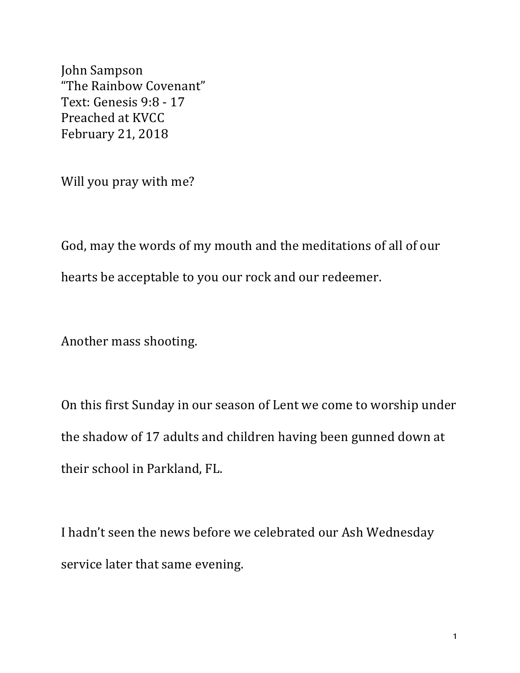John Sampson "The Rainbow Covenant" Text: Genesis 9:8 - 17 Preached at KVCC February 21, 2018

Will you pray with me?

God, may the words of my mouth and the meditations of all of our hearts be acceptable to you our rock and our redeemer.

Another mass shooting.

On this first Sunday in our season of Lent we come to worship under the shadow of 17 adults and children having been gunned down at their school in Parkland, FL.

I hadn't seen the news before we celebrated our Ash Wednesday service later that same evening.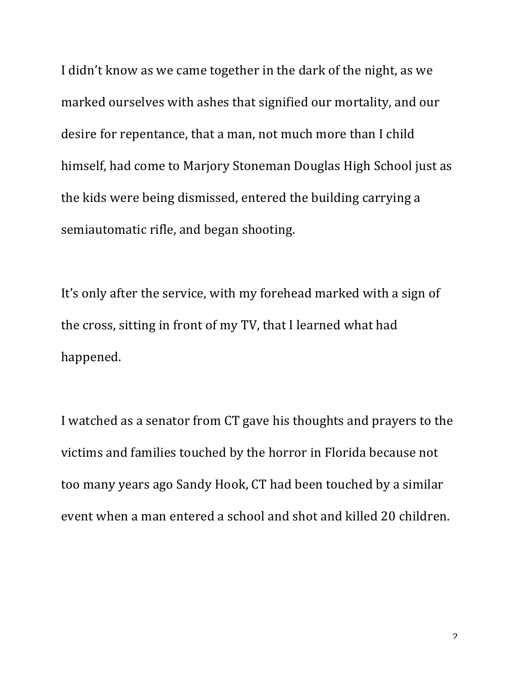I didn't know as we came together in the dark of the night, as we marked ourselves with ashes that signified our mortality, and our desire for repentance, that a man, not much more than I child himself, had come to Marjory Stoneman Douglas High School just as the kids were being dismissed, entered the building carrying a semiautomatic rifle, and began shooting.

It's only after the service, with my forehead marked with a sign of the cross, sitting in front of my TV, that I learned what had happened.

I watched as a senator from CT gave his thoughts and prayers to the victims and families touched by the horror in Florida because not too many years ago Sandy Hook, CT had been touched by a similar event when a man entered a school and shot and killed 20 children.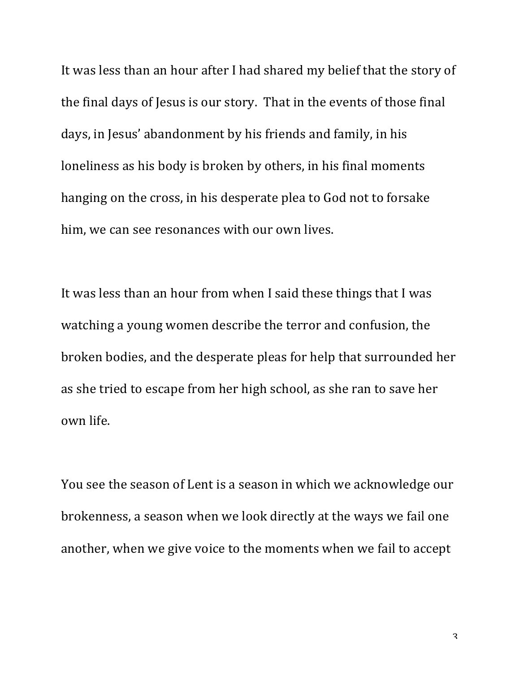It was less than an hour after I had shared my belief that the story of the final days of Jesus is our story. That in the events of those final days, in Jesus' abandonment by his friends and family, in his loneliness as his body is broken by others, in his final moments hanging on the cross, in his desperate plea to God not to forsake him, we can see resonances with our own lives.

It was less than an hour from when I said these things that I was watching a young women describe the terror and confusion, the broken bodies, and the desperate pleas for help that surrounded her as she tried to escape from her high school, as she ran to save her own life.

You see the season of Lent is a season in which we acknowledge our brokenness, a season when we look directly at the ways we fail one another, when we give voice to the moments when we fail to accept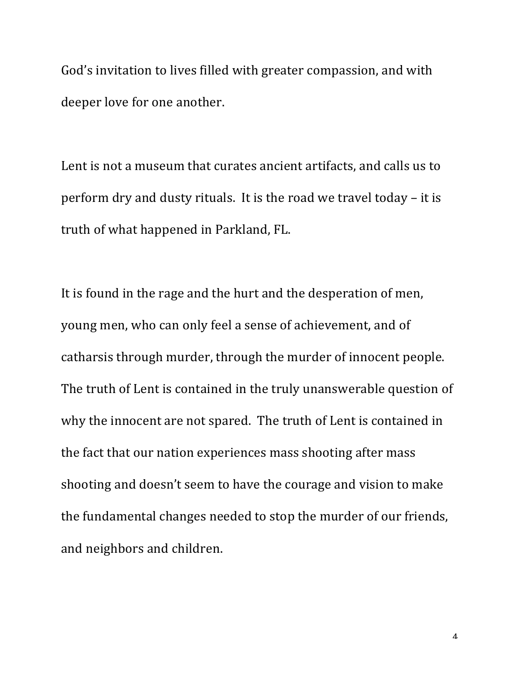God's invitation to lives filled with greater compassion, and with deeper love for one another.

Lent is not a museum that curates ancient artifacts, and calls us to perform dry and dusty rituals. It is the road we travel today  $-$  it is truth of what happened in Parkland, FL.

It is found in the rage and the hurt and the desperation of men, young men, who can only feel a sense of achievement, and of catharsis through murder, through the murder of innocent people. The truth of Lent is contained in the truly unanswerable question of why the innocent are not spared. The truth of Lent is contained in the fact that our nation experiences mass shooting after mass shooting and doesn't seem to have the courage and vision to make the fundamental changes needed to stop the murder of our friends, and neighbors and children.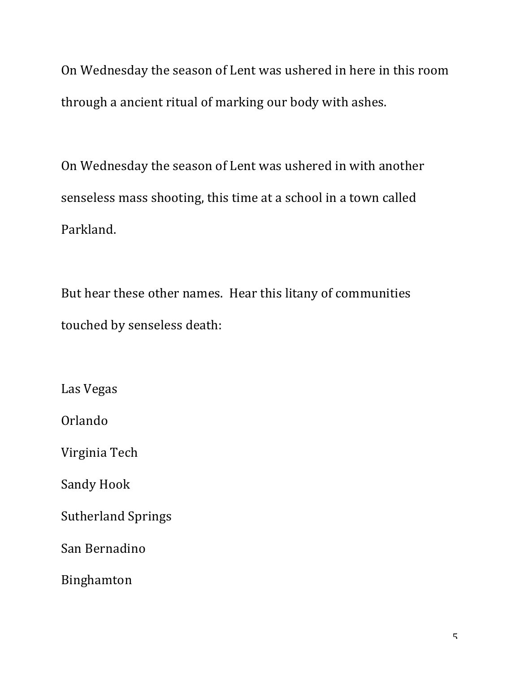On Wednesday the season of Lent was ushered in here in this room through a ancient ritual of marking our body with ashes.

On Wednesday the season of Lent was ushered in with another senseless mass shooting, this time at a school in a town called Parkland. 

But hear these other names. Hear this litany of communities touched by senseless death:

Las Vegas Orlando Virginia Tech Sandy Hook Sutherland Springs San Bernadino Binghamton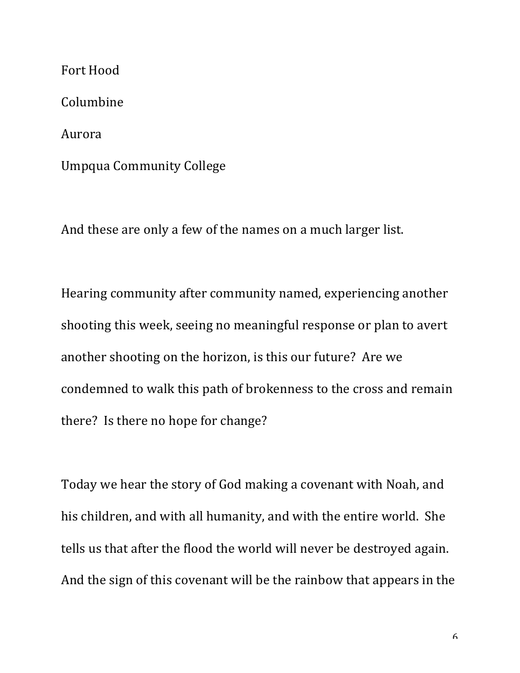Fort Hood Columbine Aurora Umpqua Community College

And these are only a few of the names on a much larger list.

Hearing community after community named, experiencing another shooting this week, seeing no meaningful response or plan to avert another shooting on the horizon, is this our future? Are we condemned to walk this path of brokenness to the cross and remain there? Is there no hope for change?

Today we hear the story of God making a covenant with Noah, and his children, and with all humanity, and with the entire world. She tells us that after the flood the world will never be destroyed again. And the sign of this covenant will be the rainbow that appears in the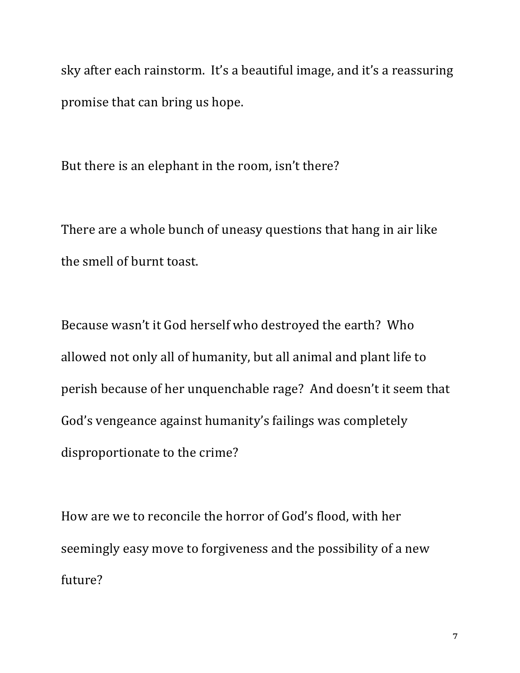sky after each rainstorm. It's a beautiful image, and it's a reassuring promise that can bring us hope.

But there is an elephant in the room, isn't there?

There are a whole bunch of uneasy questions that hang in air like the smell of burnt toast.

Because wasn't it God herself who destroyed the earth? Who allowed not only all of humanity, but all animal and plant life to perish because of her unquenchable rage? And doesn't it seem that God's vengeance against humanity's failings was completely disproportionate to the crime?

How are we to reconcile the horror of God's flood, with her seemingly easy move to forgiveness and the possibility of a new future?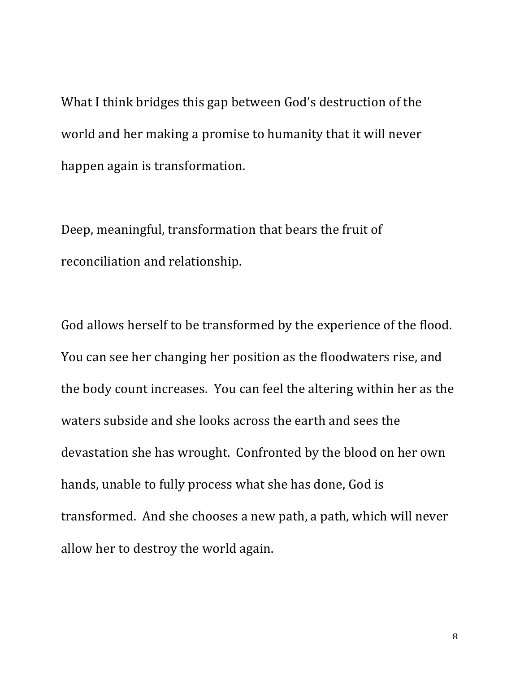What I think bridges this gap between God's destruction of the world and her making a promise to humanity that it will never happen again is transformation.

Deep, meaningful, transformation that bears the fruit of reconciliation and relationship.

God allows herself to be transformed by the experience of the flood. You can see her changing her position as the floodwaters rise, and the body count increases. You can feel the altering within her as the waters subside and she looks across the earth and sees the devastation she has wrought. Confronted by the blood on her own hands, unable to fully process what she has done, God is transformed. And she chooses a new path, a path, which will never allow her to destroy the world again.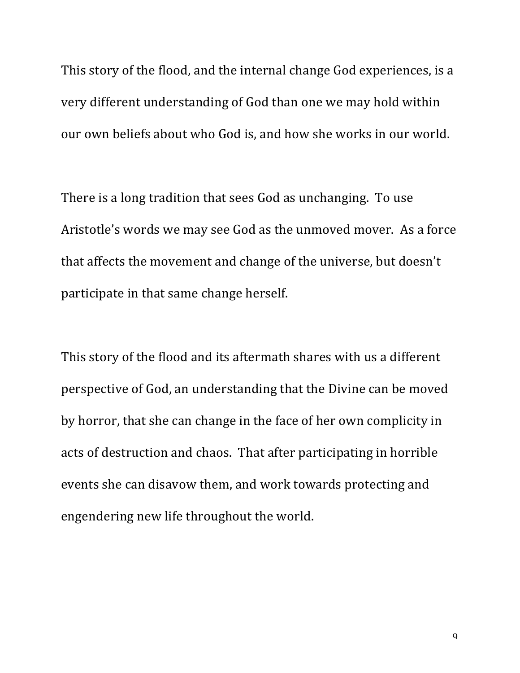This story of the flood, and the internal change God experiences, is a very different understanding of God than one we may hold within our own beliefs about who God is, and how she works in our world.

There is a long tradition that sees God as unchanging. To use Aristotle's words we may see God as the unmoved mover. As a force that affects the movement and change of the universe, but doesn't participate in that same change herself.

This story of the flood and its aftermath shares with us a different perspective of God, an understanding that the Divine can be moved by horror, that she can change in the face of her own complicity in acts of destruction and chaos. That after participating in horrible events she can disavow them, and work towards protecting and engendering new life throughout the world.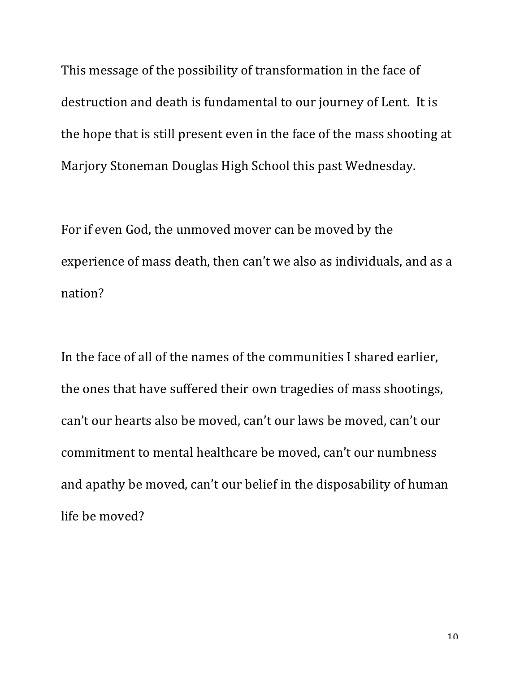This message of the possibility of transformation in the face of destruction and death is fundamental to our journey of Lent. It is the hope that is still present even in the face of the mass shooting at Marjory Stoneman Douglas High School this past Wednesday.

For if even God, the unmoved mover can be moved by the experience of mass death, then can't we also as individuals, and as a nation?

In the face of all of the names of the communities I shared earlier, the ones that have suffered their own tragedies of mass shootings, can't our hearts also be moved, can't our laws be moved, can't our commitment to mental healthcare be moved, can't our numbness and apathy be moved, can't our belief in the disposability of human life be moved?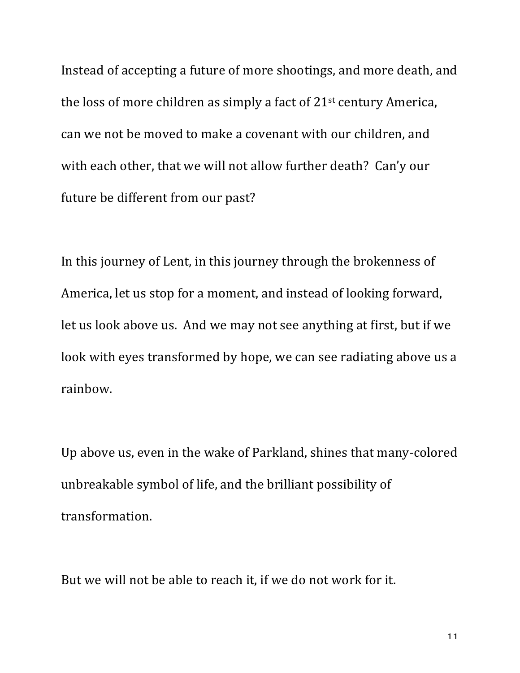Instead of accepting a future of more shootings, and more death, and the loss of more children as simply a fact of  $21^{st}$  century America, can we not be moved to make a covenant with our children, and with each other, that we will not allow further death? Can'y our future be different from our past?

In this journey of Lent, in this journey through the brokenness of America, let us stop for a moment, and instead of looking forward, let us look above us. And we may not see anything at first, but if we look with eyes transformed by hope, we can see radiating above us a rainbow.

Up above us, even in the wake of Parkland, shines that many-colored unbreakable symbol of life, and the brilliant possibility of transformation.

But we will not be able to reach it, if we do not work for it.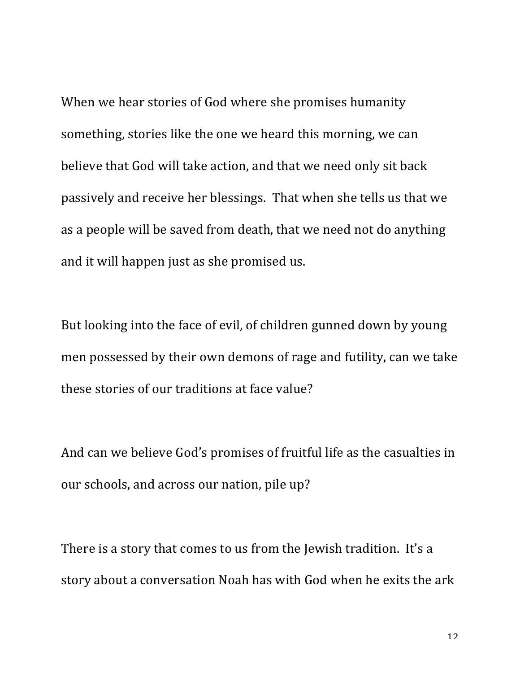When we hear stories of God where she promises humanity something, stories like the one we heard this morning, we can believe that God will take action, and that we need only sit back passively and receive her blessings. That when she tells us that we as a people will be saved from death, that we need not do anything and it will happen just as she promised us.

But looking into the face of evil, of children gunned down by young men possessed by their own demons of rage and futility, can we take these stories of our traditions at face value?

And can we believe God's promises of fruitful life as the casualties in our schools, and across our nation, pile up?

There is a story that comes to us from the Jewish tradition. It's a story about a conversation Noah has with God when he exits the ark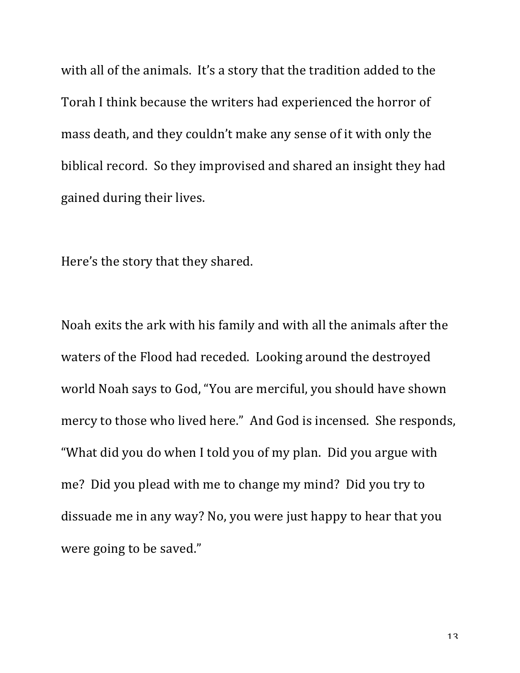with all of the animals. It's a story that the tradition added to the Torah I think because the writers had experienced the horror of mass death, and they couldn't make any sense of it with only the biblical record. So they improvised and shared an insight they had gained during their lives.

Here's the story that they shared.

Noah exits the ark with his family and with all the animals after the waters of the Flood had receded. Looking around the destroyed world Noah says to God, "You are merciful, you should have shown mercy to those who lived here." And God is incensed. She responds, "What did you do when I told you of my plan. Did you argue with me? Did you plead with me to change my mind? Did you try to dissuade me in any way? No, you were just happy to hear that you were going to be saved."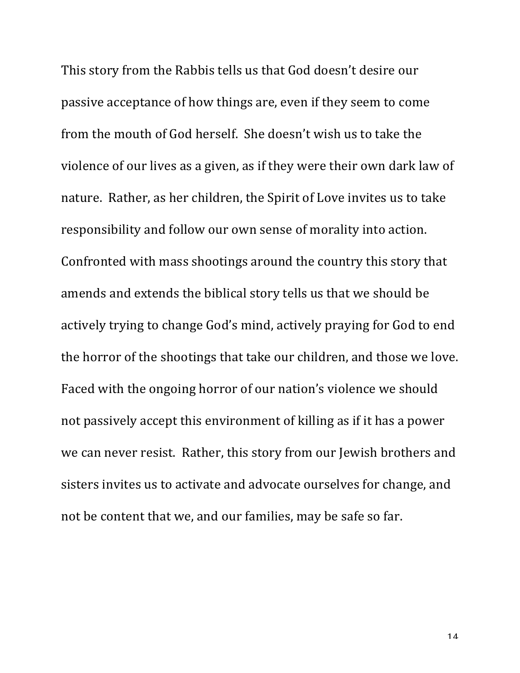This story from the Rabbis tells us that God doesn't desire our passive acceptance of how things are, even if they seem to come from the mouth of God herself. She doesn't wish us to take the violence of our lives as a given, as if they were their own dark law of nature. Rather, as her children, the Spirit of Love invites us to take responsibility and follow our own sense of morality into action. Confronted with mass shootings around the country this story that amends and extends the biblical story tells us that we should be actively trying to change God's mind, actively praying for God to end the horror of the shootings that take our children, and those we love. Faced with the ongoing horror of our nation's violence we should not passively accept this environment of killing as if it has a power we can never resist. Rather, this story from our Jewish brothers and sisters invites us to activate and advocate ourselves for change, and not be content that we, and our families, may be safe so far.